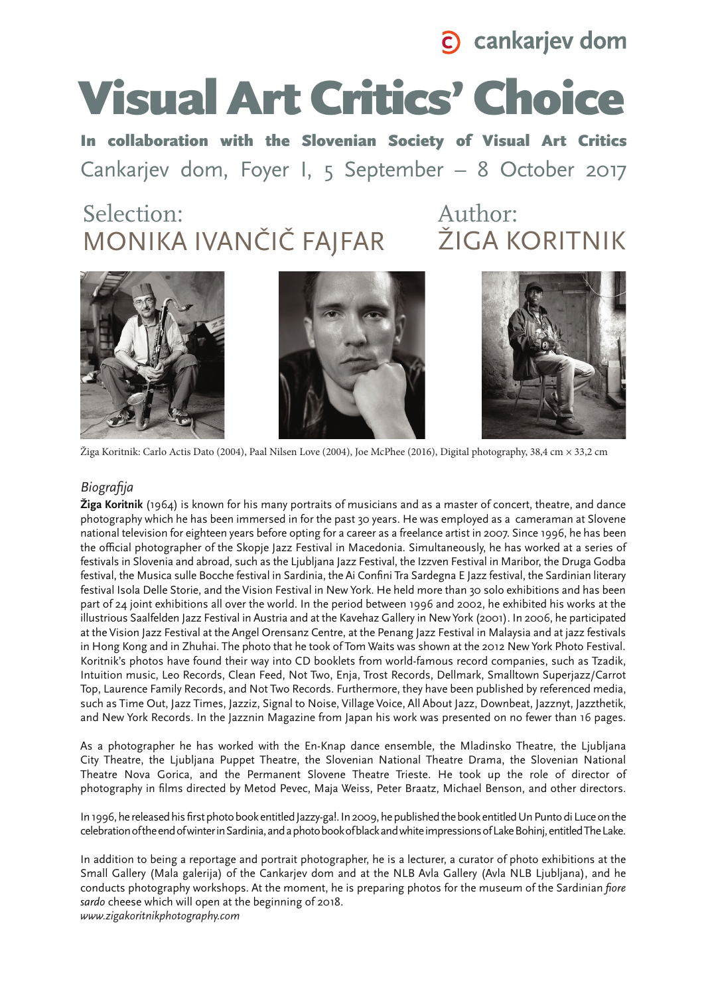

# Visual Art Critics' Choice

In collaboration with the Slovenian Society of Visual Art Critics Cankarjev dom, Foyer I, 5 September – 8 October 2017

## **MONIKA IVANČIČ FAJFAR** ŽIGA KORITNIK Selection: Author:







Žiga Koritnik: Carlo Actis Dato (2004), Paal Nilsen Love (2004), Joe McPhee (2016), Digital photography, 38,4 cm × 33,2 cm

## *Biografija*

**Žiga Koritnik** (1964) is known for his many portraits of musicians and as a master of concert, theatre, and dance photography which he has been immersed in for the past 30 years. He was employed as a cameraman at Slovene national television for eighteen years before opting for a career as a freelance artist in 2007. Since 1996, he has been the official photographer of the Skopje Jazz Festival in Macedonia. Simultaneously, he has worked at a series of festivals in Slovenia and abroad, such as the Ljubljana Jazz Festival, the Izzven Festival in Maribor, the Druga Godba festival, the Musica sulle Bocche festival in Sardinia, the Ai Confini Tra Sardegna E Jazz festival, the Sardinian literary festival Isola Delle Storie, and the Vision Festival in New York. He held more than 30 solo exhibitions and has been part of 24 joint exhibitions all over the world. In the period between 1996 and 2002, he exhibited his works at the illustrious Saalfelden Jazz Festival in Austria and at the Kavehaz Gallery in New York (2001). In 2006, he participated at the Vision Jazz Festival at the Angel Orensanz Centre, at the Penang Jazz Festival in Malaysia and at jazz festivals in Hong Kong and in Zhuhai. The photo that he took of Tom Waits was shown at the 2012 New York Photo Festival. Koritnik's photos have found their way into CD booklets from world-famous record companies, such as Tzadik, Intuition music, Leo Records, Clean Feed, Not Two, Enja, Trost Records, Dellmark, Smalltown Superjazz/Carrot Top, Laurence Family Records, and Not Two Records. Furthermore, they have been published by referenced media, such as Time Out, Jazz Times, Jazziz, Signal to Noise, Village Voice, All About Jazz, Downbeat, Jazznyt, Jazzthetik, and New York Records. In the Jazznin Magazine from Japan his work was presented on no fewer than 16 pages.

As a photographer he has worked with the En-Knap dance ensemble, the Mladinsko Theatre, the Ljubljana City Theatre, the Ljubljana Puppet Theatre, the Slovenian National Theatre Drama, the Slovenian National Theatre Nova Gorica, and the Permanent Slovene Theatre Trieste. He took up the role of director of photography in films directed by Metod Pevec, Maja Weiss, Peter Braatz, Michael Benson, and other directors.

In 1996, he released his first photo book entitled Jazzy-ga!. In 2009, he published the book entitled Un Punto di Luce on the celebration of the end of winter in Sardinia, and a photo book of black and white impressions of Lake Bohinj, entitled The Lake.

In addition to being a reportage and portrait photographer, he is a lecturer, a curator of photo exhibitions at the Small Gallery (Mala galerija) of the Cankarjev dom and at the NLB Avla Gallery (Avla NLB Ljubljana), and he conducts photography workshops. At the moment, he is preparing photos for the museum of the Sardinian *fiore sardo* cheese which will open at the beginning of 2018.

*www.zigakoritnikphotography.com*